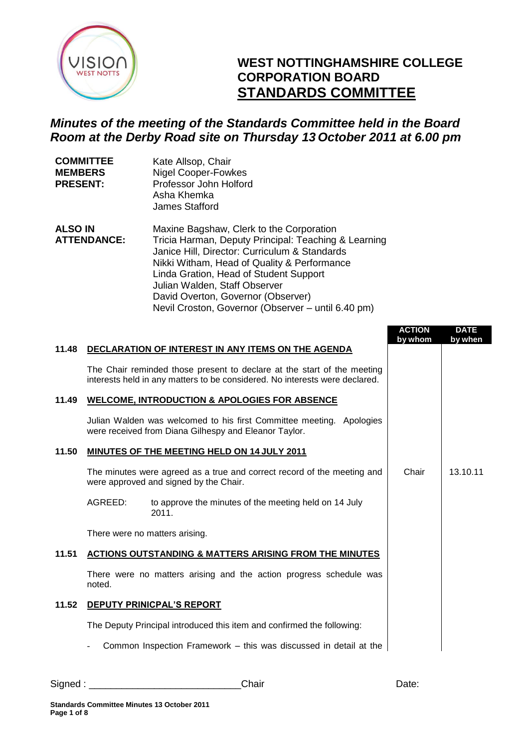

## **WEST NOTTINGHAMSHIRE COLLEGE CORPORATION BOARD STANDARDS COMMITTEE**

## *Minutes of the meeting of the Standards Committee held in the Board Room at the Derby Road site on Thursday 13 October 2011 at 6.00 pm*

| <b>COMMITTEE</b><br><b>MEMBERS</b><br><b>PRESENT:</b> | Kate Allsop, Chair<br><b>Nigel Cooper-Fowkes</b><br>Professor John Holford<br>Asha Khemka<br>James Stafford                                                                                                                                                                                                       |
|-------------------------------------------------------|-------------------------------------------------------------------------------------------------------------------------------------------------------------------------------------------------------------------------------------------------------------------------------------------------------------------|
| <b>ALSO IN</b><br><b>ATTENDANCE:</b>                  | Maxine Bagshaw, Clerk to the Corporation<br>Tricia Harman, Deputy Principal: Teaching & Learning<br>Janice Hill, Director: Curriculum & Standards<br>Nikki Witham, Head of Quality & Performance<br>Linda Gration, Head of Student Support<br>Julian Walden, Staff Observer<br>David Overton, Governor (Observer) |

Nevil Croston, Governor (Observer – until 6.40 pm)

|       |                                                                                                                                                        | <b>ACTION</b><br>by whom | <b>DATE</b><br>by when |
|-------|--------------------------------------------------------------------------------------------------------------------------------------------------------|--------------------------|------------------------|
| 11.48 | DECLARATION OF INTEREST IN ANY ITEMS ON THE AGENDA                                                                                                     |                          |                        |
|       | The Chair reminded those present to declare at the start of the meeting<br>interests held in any matters to be considered. No interests were declared. |                          |                        |
| 11.49 | <b>WELCOME, INTRODUCTION &amp; APOLOGIES FOR ABSENCE</b>                                                                                               |                          |                        |
|       | Julian Walden was welcomed to his first Committee meeting. Apologies<br>were received from Diana Gilhespy and Eleanor Taylor.                          |                          |                        |
| 11.50 | MINUTES OF THE MEETING HELD ON 14 JULY 2011                                                                                                            |                          |                        |
|       | The minutes were agreed as a true and correct record of the meeting and<br>were approved and signed by the Chair.                                      | Chair                    | 13.10.11               |
|       | AGREED:<br>to approve the minutes of the meeting held on 14 July<br>2011.                                                                              |                          |                        |
|       | There were no matters arising.                                                                                                                         |                          |                        |
| 11.51 | <b>ACTIONS OUTSTANDING &amp; MATTERS ARISING FROM THE MINUTES</b>                                                                                      |                          |                        |
|       | There were no matters arising and the action progress schedule was<br>noted.                                                                           |                          |                        |
| 11.52 | DEPUTY PRINICPAL'S REPORT                                                                                                                              |                          |                        |
|       | The Deputy Principal introduced this item and confirmed the following:                                                                                 |                          |                        |
|       | Common Inspection Framework – this was discussed in detail at the                                                                                      |                          |                        |

Signed : \_\_\_\_\_\_\_\_\_\_\_\_\_\_\_\_\_\_\_\_\_\_\_\_\_\_\_\_Chair Date: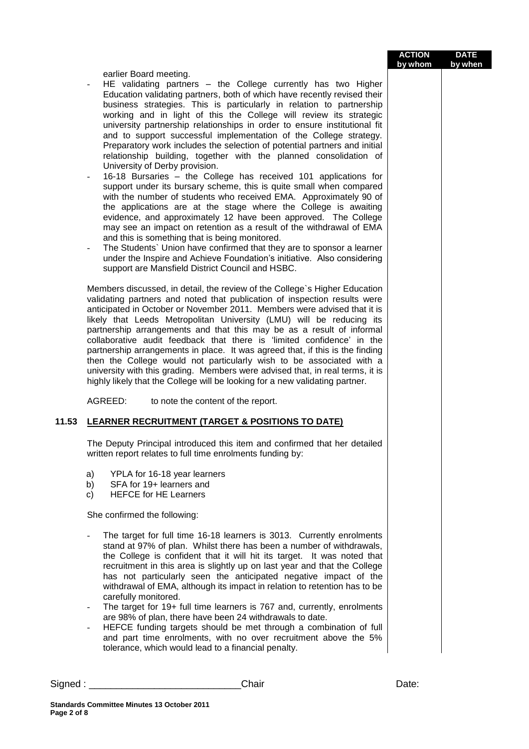| <b>ACTION</b> | <b>DATE</b> |
|---------------|-------------|
| by whom       | by when     |

earlier Board meeting.

- $HE$  validating partners the College currently has two Higher Education validating partners, both of which have recently revised their business strategies. This is particularly in relation to partnership working and in light of this the College will review its strategic university partnership relationships in order to ensure institutional fit and to support successful implementation of the College strategy. Preparatory work includes the selection of potential partners and initial relationship building, together with the planned consolidation of University of Derby provision.
- 16-18 Bursaries the College has received 101 applications for support under its bursary scheme, this is quite small when compared with the number of students who received EMA. Approximately 90 of the applications are at the stage where the College is awaiting evidence, and approximately 12 have been approved. The College may see an impact on retention as a result of the withdrawal of EMA and this is something that is being monitored.
- The Students` Union have confirmed that they are to sponsor a learner under the Inspire and Achieve Foundation's initiative. Also considering support are Mansfield District Council and HSBC.

Members discussed, in detail, the review of the College`s Higher Education validating partners and noted that publication of inspection results were anticipated in October or November 2011. Members were advised that it is likely that Leeds Metropolitan University (LMU) will be reducing its partnership arrangements and that this may be as a result of informal collaborative audit feedback that there is 'limited confidence' in the partnership arrangements in place. It was agreed that, if this is the finding then the College would not particularly wish to be associated with a university with this grading. Members were advised that, in real terms, it is highly likely that the College will be looking for a new validating partner.

AGREED: to note the content of the report.

## **11.53 LEARNER RECRUITMENT (TARGET & POSITIONS TO DATE)**

The Deputy Principal introduced this item and confirmed that her detailed written report relates to full time enrolments funding by:

- a) YPLA for 16-18 year learners
- b) SFA for 19+ learners and
- c) HEFCE for HE Learners

She confirmed the following:

- The target for full time 16-18 learners is 3013. Currently enrolments stand at 97% of plan. Whilst there has been a number of withdrawals, the College is confident that it will hit its target. It was noted that recruitment in this area is slightly up on last year and that the College has not particularly seen the anticipated negative impact of the withdrawal of EMA, although its impact in relation to retention has to be carefully monitored.
- The target for 19+ full time learners is 767 and, currently, enrolments are 98% of plan, there have been 24 withdrawals to date.
- HEFCE funding targets should be met through a combination of full and part time enrolments, with no over recruitment above the 5% tolerance, which would lead to a financial penalty.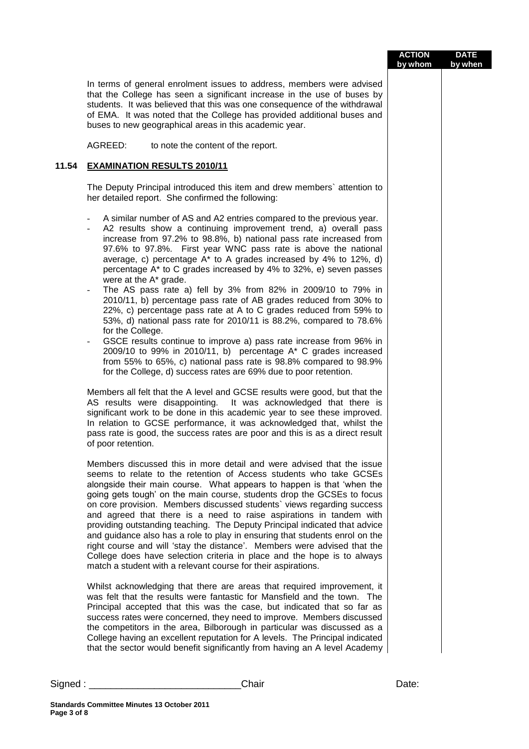|            |                                                                                                                                                                                                                                                                                                                                                                                                                                                                                                                                                                                                                                                                                                                                                                                                                                                                                                                                                                                                                                                          | <b>ACTION</b><br>by whom | <b>DATE</b><br>by when |
|------------|----------------------------------------------------------------------------------------------------------------------------------------------------------------------------------------------------------------------------------------------------------------------------------------------------------------------------------------------------------------------------------------------------------------------------------------------------------------------------------------------------------------------------------------------------------------------------------------------------------------------------------------------------------------------------------------------------------------------------------------------------------------------------------------------------------------------------------------------------------------------------------------------------------------------------------------------------------------------------------------------------------------------------------------------------------|--------------------------|------------------------|
|            | In terms of general enrolment issues to address, members were advised<br>that the College has seen a significant increase in the use of buses by<br>students. It was believed that this was one consequence of the withdrawal<br>of EMA. It was noted that the College has provided additional buses and<br>buses to new geographical areas in this academic year.                                                                                                                                                                                                                                                                                                                                                                                                                                                                                                                                                                                                                                                                                       |                          |                        |
|            | AGREED:<br>to note the content of the report.                                                                                                                                                                                                                                                                                                                                                                                                                                                                                                                                                                                                                                                                                                                                                                                                                                                                                                                                                                                                            |                          |                        |
| 11.54      | <b>EXAMINATION RESULTS 2010/11</b>                                                                                                                                                                                                                                                                                                                                                                                                                                                                                                                                                                                                                                                                                                                                                                                                                                                                                                                                                                                                                       |                          |                        |
|            | The Deputy Principal introduced this item and drew members' attention to<br>her detailed report. She confirmed the following:                                                                                                                                                                                                                                                                                                                                                                                                                                                                                                                                                                                                                                                                                                                                                                                                                                                                                                                            |                          |                        |
|            | A similar number of AS and A2 entries compared to the previous year.<br>A2 results show a continuing improvement trend, a) overall pass<br>increase from 97.2% to 98.8%, b) national pass rate increased from<br>97.6% to 97.8%. First year WNC pass rate is above the national<br>average, c) percentage A* to A grades increased by 4% to 12%, d)<br>percentage A* to C grades increased by 4% to 32%, e) seven passes<br>were at the A* grade.<br>The AS pass rate a) fell by 3% from 82% in 2009/10 to 79% in<br>$\blacksquare$<br>2010/11, b) percentage pass rate of AB grades reduced from 30% to<br>22%, c) percentage pass rate at A to C grades reduced from 59% to<br>53%, d) national pass rate for 2010/11 is 88.2%, compared to 78.6%<br>for the College.<br>GSCE results continue to improve a) pass rate increase from 96% in<br>2009/10 to 99% in 2010/11, b) percentage A* C grades increased<br>from 55% to 65%, c) national pass rate is 98.8% compared to 98.9%<br>for the College, d) success rates are 69% due to poor retention. |                          |                        |
|            | Members all felt that the A level and GCSE results were good, but that the<br>AS results were disappointing. It was acknowledged that there is<br>significant work to be done in this academic year to see these improved.<br>In relation to GCSE performance, it was acknowledged that, whilst the<br>pass rate is good, the success rates are poor and this is as a direct result<br>of poor retention.                                                                                                                                                                                                                                                                                                                                                                                                                                                                                                                                                                                                                                                |                          |                        |
|            | Members discussed this in more detail and were advised that the issue<br>seems to relate to the retention of Access students who take GCSEs<br>alongside their main course. What appears to happen is that 'when the<br>going gets tough' on the main course, students drop the GCSEs to focus<br>on core provision. Members discussed students' views regarding success<br>and agreed that there is a need to raise aspirations in tandem with<br>providing outstanding teaching. The Deputy Principal indicated that advice<br>and guidance also has a role to play in ensuring that students enrol on the<br>right course and will 'stay the distance'. Members were advised that the<br>College does have selection criteria in place and the hope is to always<br>match a student with a relevant course for their aspirations.                                                                                                                                                                                                                     |                          |                        |
|            | Whilst acknowledging that there are areas that required improvement, it<br>was felt that the results were fantastic for Mansfield and the town. The<br>Principal accepted that this was the case, but indicated that so far as<br>success rates were concerned, they need to improve. Members discussed<br>the competitors in the area, Bilborough in particular was discussed as a<br>College having an excellent reputation for A levels. The Principal indicated<br>that the sector would benefit significantly from having an A level Academy                                                                                                                                                                                                                                                                                                                                                                                                                                                                                                        |                          |                        |
| $Sigma :=$ | Chair                                                                                                                                                                                                                                                                                                                                                                                                                                                                                                                                                                                                                                                                                                                                                                                                                                                                                                                                                                                                                                                    | Date:                    |                        |

**Page 3 of 8**

**Standards Committee Minutes 13 October 2011**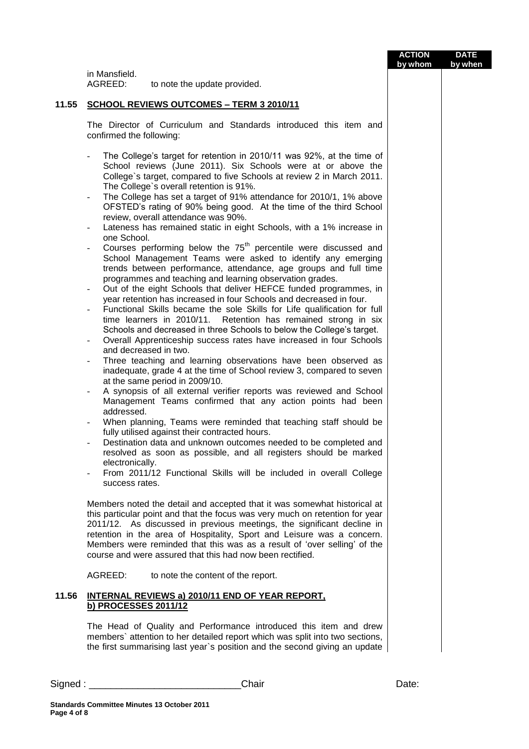|       |                                                                                                                                                                                                   |                                                                                                                                                                                                                                                                                                                                                                                                                                                                                                                                                                                                                                                                                                                                                                                                                                                                                                                                                                                                                                                                                                                                                                                                                                                                                                                                                                                                                                                                                                                                                                                                                                                                                                                                                                                                                                                                                                        | <b>ACTION</b><br>by whom | <b>DATE</b><br>by when |
|-------|---------------------------------------------------------------------------------------------------------------------------------------------------------------------------------------------------|--------------------------------------------------------------------------------------------------------------------------------------------------------------------------------------------------------------------------------------------------------------------------------------------------------------------------------------------------------------------------------------------------------------------------------------------------------------------------------------------------------------------------------------------------------------------------------------------------------------------------------------------------------------------------------------------------------------------------------------------------------------------------------------------------------------------------------------------------------------------------------------------------------------------------------------------------------------------------------------------------------------------------------------------------------------------------------------------------------------------------------------------------------------------------------------------------------------------------------------------------------------------------------------------------------------------------------------------------------------------------------------------------------------------------------------------------------------------------------------------------------------------------------------------------------------------------------------------------------------------------------------------------------------------------------------------------------------------------------------------------------------------------------------------------------------------------------------------------------------------------------------------------------|--------------------------|------------------------|
|       | in Mansfield.<br>AGREED:                                                                                                                                                                          | to note the update provided.                                                                                                                                                                                                                                                                                                                                                                                                                                                                                                                                                                                                                                                                                                                                                                                                                                                                                                                                                                                                                                                                                                                                                                                                                                                                                                                                                                                                                                                                                                                                                                                                                                                                                                                                                                                                                                                                           |                          |                        |
| 11.55 |                                                                                                                                                                                                   | <b>SCHOOL REVIEWS OUTCOMES - TERM 3 2010/11</b>                                                                                                                                                                                                                                                                                                                                                                                                                                                                                                                                                                                                                                                                                                                                                                                                                                                                                                                                                                                                                                                                                                                                                                                                                                                                                                                                                                                                                                                                                                                                                                                                                                                                                                                                                                                                                                                        |                          |                        |
|       | confirmed the following:                                                                                                                                                                          | The Director of Curriculum and Standards introduced this item and                                                                                                                                                                                                                                                                                                                                                                                                                                                                                                                                                                                                                                                                                                                                                                                                                                                                                                                                                                                                                                                                                                                                                                                                                                                                                                                                                                                                                                                                                                                                                                                                                                                                                                                                                                                                                                      |                          |                        |
|       | $\overline{\phantom{a}}$<br>$\frac{1}{2}$<br>one School.<br>$\overline{\phantom{a}}$<br>and decreased in two.<br>$\overline{\phantom{a}}$<br>-<br>addressed.<br>electronically.<br>success rates. | The College's target for retention in 2010/11 was 92%, at the time of<br>School reviews (June 2011). Six Schools were at or above the<br>College's target, compared to five Schools at review 2 in March 2011.<br>The College's overall retention is 91%.<br>The College has set a target of 91% attendance for 2010/1, 1% above<br>OFSTED's rating of 90% being good. At the time of the third School<br>review, overall attendance was 90%.<br>Lateness has remained static in eight Schools, with a 1% increase in<br>Courses performing below the 75 <sup>th</sup> percentile were discussed and<br>School Management Teams were asked to identify any emerging<br>trends between performance, attendance, age groups and full time<br>programmes and teaching and learning observation grades.<br>Out of the eight Schools that deliver HEFCE funded programmes, in<br>year retention has increased in four Schools and decreased in four.<br>Functional Skills became the sole Skills for Life qualification for full<br>Retention has remained strong in six<br>time learners in 2010/11.<br>Schools and decreased in three Schools to below the College's target.<br>Overall Apprenticeship success rates have increased in four Schools<br>Three teaching and learning observations have been observed as<br>inadequate, grade 4 at the time of School review 3, compared to seven<br>at the same period in 2009/10.<br>A synopsis of all external verifier reports was reviewed and School<br>Management Teams confirmed that any action points had been<br>When planning, Teams were reminded that teaching staff should be<br>fully utilised against their contracted hours.<br>Destination data and unknown outcomes needed to be completed and<br>resolved as soon as possible, and all registers should be marked<br>From 2011/12 Functional Skills will be included in overall College |                          |                        |
|       |                                                                                                                                                                                                   | Members noted the detail and accepted that it was somewhat historical at<br>this particular point and that the focus was very much on retention for year<br>2011/12. As discussed in previous meetings, the significant decline in<br>retention in the area of Hospitality, Sport and Leisure was a concern.<br>Members were reminded that this was as a result of 'over selling' of the<br>course and were assured that this had now been rectified.                                                                                                                                                                                                                                                                                                                                                                                                                                                                                                                                                                                                                                                                                                                                                                                                                                                                                                                                                                                                                                                                                                                                                                                                                                                                                                                                                                                                                                                  |                          |                        |
|       | AGREED:                                                                                                                                                                                           | to note the content of the report.                                                                                                                                                                                                                                                                                                                                                                                                                                                                                                                                                                                                                                                                                                                                                                                                                                                                                                                                                                                                                                                                                                                                                                                                                                                                                                                                                                                                                                                                                                                                                                                                                                                                                                                                                                                                                                                                     |                          |                        |
| 11.56 | b) PROCESSES 2011/12                                                                                                                                                                              | <b>INTERNAL REVIEWS a) 2010/11 END OF YEAR REPORT.</b>                                                                                                                                                                                                                                                                                                                                                                                                                                                                                                                                                                                                                                                                                                                                                                                                                                                                                                                                                                                                                                                                                                                                                                                                                                                                                                                                                                                                                                                                                                                                                                                                                                                                                                                                                                                                                                                 |                          |                        |
|       |                                                                                                                                                                                                   | The Head of Quality and Performance introduced this item and drew<br>members' attention to her detailed report which was split into two sections,<br>the first summarising last year's position and the second giving an update                                                                                                                                                                                                                                                                                                                                                                                                                                                                                                                                                                                                                                                                                                                                                                                                                                                                                                                                                                                                                                                                                                                                                                                                                                                                                                                                                                                                                                                                                                                                                                                                                                                                        |                          |                        |
|       |                                                                                                                                                                                                   | Chair<br>Signed : __________________________________                                                                                                                                                                                                                                                                                                                                                                                                                                                                                                                                                                                                                                                                                                                                                                                                                                                                                                                                                                                                                                                                                                                                                                                                                                                                                                                                                                                                                                                                                                                                                                                                                                                                                                                                                                                                                                                   | Date:                    |                        |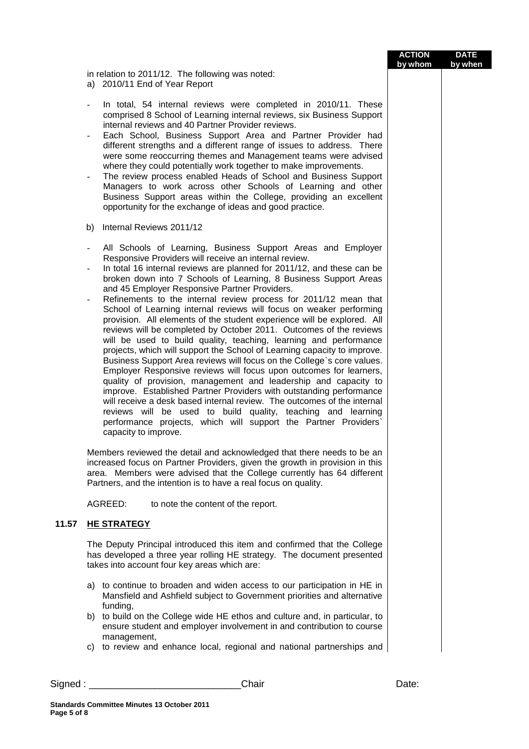|                                                                                                                                                                                                                                                                                                                                                                                                                                                                                                                                                                                                                                                                                                                                                                                                                                                                                                                                                                                                                                                                                                                                                                                                                                                                                                   | by whom | by whe |
|---------------------------------------------------------------------------------------------------------------------------------------------------------------------------------------------------------------------------------------------------------------------------------------------------------------------------------------------------------------------------------------------------------------------------------------------------------------------------------------------------------------------------------------------------------------------------------------------------------------------------------------------------------------------------------------------------------------------------------------------------------------------------------------------------------------------------------------------------------------------------------------------------------------------------------------------------------------------------------------------------------------------------------------------------------------------------------------------------------------------------------------------------------------------------------------------------------------------------------------------------------------------------------------------------|---------|--------|
| in relation to 2011/12. The following was noted:<br>a) 2010/11 End of Year Report                                                                                                                                                                                                                                                                                                                                                                                                                                                                                                                                                                                                                                                                                                                                                                                                                                                                                                                                                                                                                                                                                                                                                                                                                 |         |        |
| In total, 54 internal reviews were completed in 2010/11. These<br>comprised 8 School of Learning internal reviews, six Business Support<br>internal reviews and 40 Partner Provider reviews.<br>Each School, Business Support Area and Partner Provider had<br>different strengths and a different range of issues to address. There<br>were some reoccurring themes and Management teams were advised<br>where they could potentially work together to make improvements.<br>The review process enabled Heads of School and Business Support<br>Managers to work across other Schools of Learning and other<br>Business Support areas within the College, providing an excellent<br>opportunity for the exchange of ideas and good practice.                                                                                                                                                                                                                                                                                                                                                                                                                                                                                                                                                     |         |        |
| Internal Reviews 2011/12<br>b)                                                                                                                                                                                                                                                                                                                                                                                                                                                                                                                                                                                                                                                                                                                                                                                                                                                                                                                                                                                                                                                                                                                                                                                                                                                                    |         |        |
| All Schools of Learning, Business Support Areas and Employer<br>Responsive Providers will receive an internal review.<br>In total 16 internal reviews are planned for 2011/12, and these can be<br>broken down into 7 Schools of Learning, 8 Business Support Areas<br>and 45 Employer Responsive Partner Providers.<br>Refinements to the internal review process for 2011/12 mean that<br>School of Learning internal reviews will focus on weaker performing<br>provision. All elements of the student experience will be explored. All<br>reviews will be completed by October 2011. Outcomes of the reviews<br>will be used to build quality, teaching, learning and performance<br>projects, which will support the School of Learning capacity to improve.<br>Business Support Area reviews will focus on the College's core values.<br>Employer Responsive reviews will focus upon outcomes for learners,<br>quality of provision, management and leadership and capacity to<br>improve. Established Partner Providers with outstanding performance<br>will receive a desk based internal review. The outcomes of the internal<br>reviews will be used to build quality, teaching and learning<br>performance projects, which will support the Partner Providers'<br>capacity to improve. |         |        |
| Members reviewed the detail and acknowledged that there needs to be an<br>increased focus on Partner Providers, given the growth in provision in this<br>area. Members were advised that the College currently has 64 different<br>Partners, and the intention is to have a real focus on quality.                                                                                                                                                                                                                                                                                                                                                                                                                                                                                                                                                                                                                                                                                                                                                                                                                                                                                                                                                                                                |         |        |
| AGREED:<br>to note the content of the report.                                                                                                                                                                                                                                                                                                                                                                                                                                                                                                                                                                                                                                                                                                                                                                                                                                                                                                                                                                                                                                                                                                                                                                                                                                                     |         |        |
| <b>HE STRATEGY</b>                                                                                                                                                                                                                                                                                                                                                                                                                                                                                                                                                                                                                                                                                                                                                                                                                                                                                                                                                                                                                                                                                                                                                                                                                                                                                |         |        |
| The Deputy Principal introduced this item and confirmed that the College<br>has developed a three year rolling HE strategy. The document presented<br>takes into account four key areas which are:                                                                                                                                                                                                                                                                                                                                                                                                                                                                                                                                                                                                                                                                                                                                                                                                                                                                                                                                                                                                                                                                                                |         |        |
| to continue to broaden and widen access to our participation in HE in<br>a)<br>Mansfield and Ashfield subject to Government priorities and alternative<br>funding,                                                                                                                                                                                                                                                                                                                                                                                                                                                                                                                                                                                                                                                                                                                                                                                                                                                                                                                                                                                                                                                                                                                                |         |        |
| to build on the College wide HE ethos and culture and, in particular, to<br>b)<br>ensure student and employer involvement in and contribution to course<br>management,<br>c) to review and enhance local, regional and national partnerships and                                                                                                                                                                                                                                                                                                                                                                                                                                                                                                                                                                                                                                                                                                                                                                                                                                                                                                                                                                                                                                                  |         |        |
|                                                                                                                                                                                                                                                                                                                                                                                                                                                                                                                                                                                                                                                                                                                                                                                                                                                                                                                                                                                                                                                                                                                                                                                                                                                                                                   |         |        |

**11.57** 

**ACTION**

**DATE by when**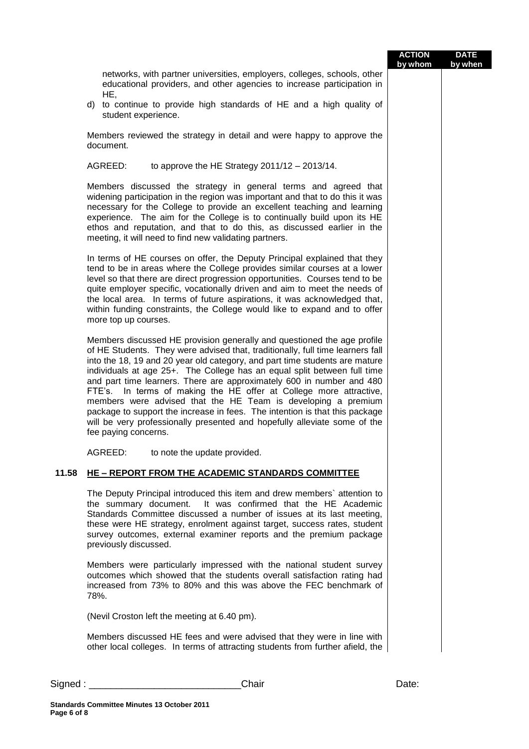|       |                                                                                                                                                                                                                                                                                                                                                                                                                                                                                                                                                                                                                                                                                                                          | <b>ACTION</b><br>by whom | <b>DATE</b><br>by when |
|-------|--------------------------------------------------------------------------------------------------------------------------------------------------------------------------------------------------------------------------------------------------------------------------------------------------------------------------------------------------------------------------------------------------------------------------------------------------------------------------------------------------------------------------------------------------------------------------------------------------------------------------------------------------------------------------------------------------------------------------|--------------------------|------------------------|
|       | networks, with partner universities, employers, colleges, schools, other<br>educational providers, and other agencies to increase participation in<br>HE,<br>d) to continue to provide high standards of HE and a high quality of                                                                                                                                                                                                                                                                                                                                                                                                                                                                                        |                          |                        |
|       | student experience.                                                                                                                                                                                                                                                                                                                                                                                                                                                                                                                                                                                                                                                                                                      |                          |                        |
|       | Members reviewed the strategy in detail and were happy to approve the<br>document.                                                                                                                                                                                                                                                                                                                                                                                                                                                                                                                                                                                                                                       |                          |                        |
|       | AGREED:<br>to approve the HE Strategy $2011/12 - 2013/14$ .                                                                                                                                                                                                                                                                                                                                                                                                                                                                                                                                                                                                                                                              |                          |                        |
|       | Members discussed the strategy in general terms and agreed that<br>widening participation in the region was important and that to do this it was<br>necessary for the College to provide an excellent teaching and learning<br>experience. The aim for the College is to continually build upon its HE<br>ethos and reputation, and that to do this, as discussed earlier in the<br>meeting, it will need to find new validating partners.                                                                                                                                                                                                                                                                               |                          |                        |
|       | In terms of HE courses on offer, the Deputy Principal explained that they<br>tend to be in areas where the College provides similar courses at a lower<br>level so that there are direct progression opportunities. Courses tend to be<br>quite employer specific, vocationally driven and aim to meet the needs of<br>the local area. In terms of future aspirations, it was acknowledged that,<br>within funding constraints, the College would like to expand and to offer<br>more top up courses.                                                                                                                                                                                                                    |                          |                        |
|       | Members discussed HE provision generally and questioned the age profile<br>of HE Students. They were advised that, traditionally, full time learners fall<br>into the 18, 19 and 20 year old category, and part time students are mature<br>individuals at age 25+. The College has an equal split between full time<br>and part time learners. There are approximately 600 in number and 480<br>FTE's. In terms of making the HE offer at College more attractive,<br>members were advised that the HE Team is developing a premium<br>package to support the increase in fees. The intention is that this package<br>will be very professionally presented and hopefully alleviate some of the<br>fee paying concerns. |                          |                        |
|       | AGREED:<br>to note the update provided.                                                                                                                                                                                                                                                                                                                                                                                                                                                                                                                                                                                                                                                                                  |                          |                        |
| 11.58 | HE - REPORT FROM THE ACADEMIC STANDARDS COMMITTEE                                                                                                                                                                                                                                                                                                                                                                                                                                                                                                                                                                                                                                                                        |                          |                        |
|       | The Deputy Principal introduced this item and drew members' attention to<br>the summary document. It was confirmed that the HE Academic<br>Standards Committee discussed a number of issues at its last meeting,<br>these were HE strategy, enrolment against target, success rates, student<br>survey outcomes, external examiner reports and the premium package<br>previously discussed.                                                                                                                                                                                                                                                                                                                              |                          |                        |
|       | Members were particularly impressed with the national student survey<br>outcomes which showed that the students overall satisfaction rating had<br>increased from 73% to 80% and this was above the FEC benchmark of<br>78%.                                                                                                                                                                                                                                                                                                                                                                                                                                                                                             |                          |                        |
|       | (Nevil Croston left the meeting at 6.40 pm).                                                                                                                                                                                                                                                                                                                                                                                                                                                                                                                                                                                                                                                                             |                          |                        |
|       | Members discussed HE fees and were advised that they were in line with<br>other local colleges. In terms of attracting students from further afield, the                                                                                                                                                                                                                                                                                                                                                                                                                                                                                                                                                                 |                          |                        |
|       | Chair                                                                                                                                                                                                                                                                                                                                                                                                                                                                                                                                                                                                                                                                                                                    | Date:                    |                        |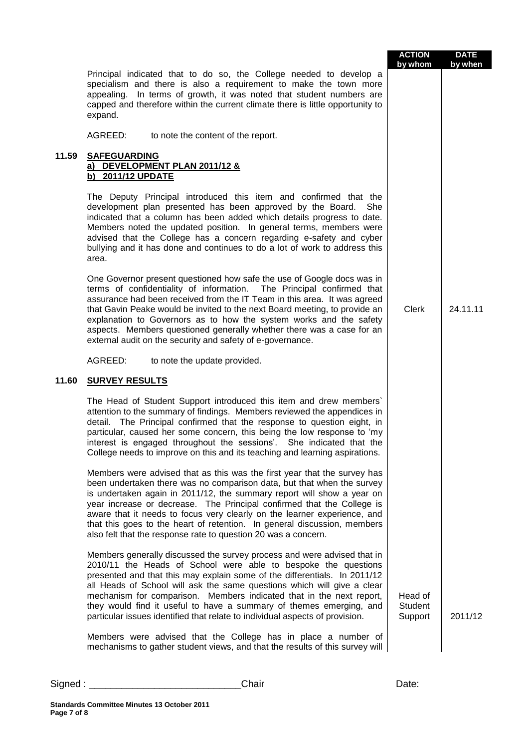|       |                                                                                                                                                                                                                                                                                                                                                                                                                                                                                                                                  | <b>ACTION</b><br>by whom      | <b>DATE</b><br>by when |
|-------|----------------------------------------------------------------------------------------------------------------------------------------------------------------------------------------------------------------------------------------------------------------------------------------------------------------------------------------------------------------------------------------------------------------------------------------------------------------------------------------------------------------------------------|-------------------------------|------------------------|
|       | Principal indicated that to do so, the College needed to develop a<br>specialism and there is also a requirement to make the town more<br>In terms of growth, it was noted that student numbers are<br>appealing.<br>capped and therefore within the current climate there is little opportunity to<br>expand.                                                                                                                                                                                                                   |                               |                        |
|       | AGREED:<br>to note the content of the report.                                                                                                                                                                                                                                                                                                                                                                                                                                                                                    |                               |                        |
| 11.59 | <b>SAFEGUARDING</b><br>a) DEVELOPMENT PLAN 2011/12 &<br>b) 2011/12 UPDATE                                                                                                                                                                                                                                                                                                                                                                                                                                                        |                               |                        |
|       | The Deputy Principal introduced this item and confirmed that the<br>development plan presented has been approved by the Board.<br>She<br>indicated that a column has been added which details progress to date.<br>Members noted the updated position. In general terms, members were<br>advised that the College has a concern regarding e-safety and cyber<br>bullying and it has done and continues to do a lot of work to address this<br>area.                                                                              |                               |                        |
|       | One Governor present questioned how safe the use of Google docs was in<br>terms of confidentiality of information. The Principal confirmed that<br>assurance had been received from the IT Team in this area. It was agreed<br>that Gavin Peake would be invited to the next Board meeting, to provide an<br>explanation to Governors as to how the system works and the safety<br>aspects. Members questioned generally whether there was a case for an<br>external audit on the security and safety of e-governance.           | <b>Clerk</b>                  | 24.11.11               |
|       | AGREED:<br>to note the update provided.                                                                                                                                                                                                                                                                                                                                                                                                                                                                                          |                               |                        |
| 11.60 | <b>SURVEY RESULTS</b>                                                                                                                                                                                                                                                                                                                                                                                                                                                                                                            |                               |                        |
|       | The Head of Student Support introduced this item and drew members'<br>attention to the summary of findings. Members reviewed the appendices in<br>detail. The Principal confirmed that the response to question eight, in<br>particular, caused her some concern, this being the low response to 'my<br>interest is engaged throughout the sessions'. She indicated that the<br>College needs to improve on this and its teaching and learning aspirations.                                                                      |                               |                        |
|       | Members were advised that as this was the first year that the survey has<br>been undertaken there was no comparison data, but that when the survey<br>is undertaken again in 2011/12, the summary report will show a year on<br>year increase or decrease. The Principal confirmed that the College is<br>aware that it needs to focus very clearly on the learner experience, and<br>that this goes to the heart of retention. In general discussion, members<br>also felt that the response rate to question 20 was a concern. |                               |                        |
|       | Members generally discussed the survey process and were advised that in<br>2010/11 the Heads of School were able to bespoke the questions<br>presented and that this may explain some of the differentials. In 2011/12<br>all Heads of School will ask the same questions which will give a clear<br>mechanism for comparison. Members indicated that in the next report,<br>they would find it useful to have a summary of themes emerging, and<br>particular issues identified that relate to individual aspects of provision. | Head of<br>Student<br>Support | 2011/12                |
|       | Members were advised that the College has in place a number of<br>mechanisms to gather student views, and that the results of this survey will                                                                                                                                                                                                                                                                                                                                                                                   |                               |                        |